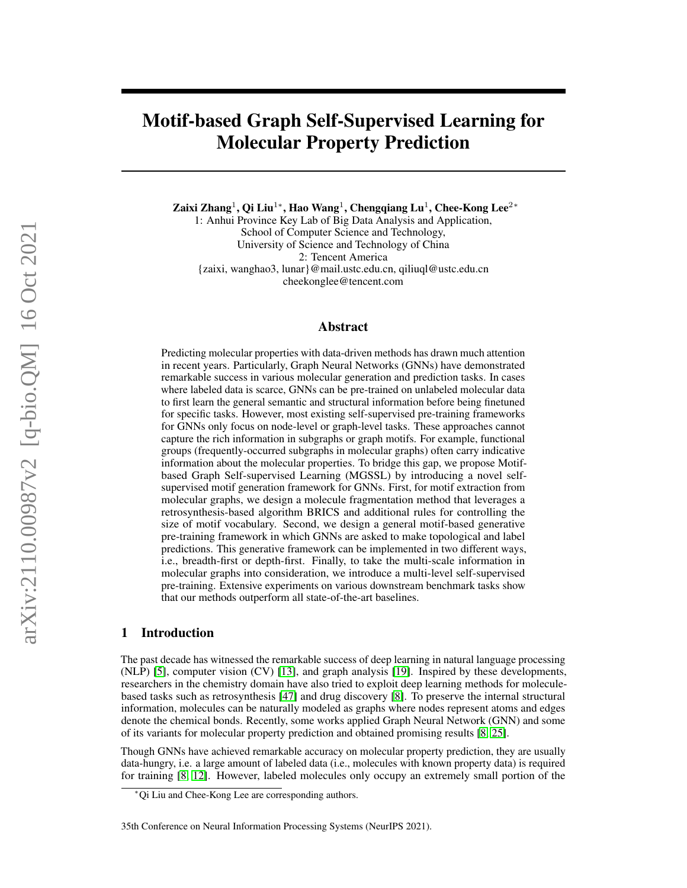# Motif-based Graph Self-Supervised Learning for Molecular Property Prediction

Zaixi Zhang $^1$ , Qi Liu $^{1*}$ , Hao Wang $^1$ , Chengqiang Lu $^1$ , Chee-Kong Lee $^{2*}$ 

1: Anhui Province Key Lab of Big Data Analysis and Application, School of Computer Science and Technology, University of Science and Technology of China 2: Tencent America {zaixi, wanghao3, lunar}@mail.ustc.edu.cn, qiliuql@ustc.edu.cn cheekonglee@tencent.com

# Abstract

Predicting molecular properties with data-driven methods has drawn much attention in recent years. Particularly, Graph Neural Networks (GNNs) have demonstrated remarkable success in various molecular generation and prediction tasks. In cases where labeled data is scarce, GNNs can be pre-trained on unlabeled molecular data to first learn the general semantic and structural information before being finetuned for specific tasks. However, most existing self-supervised pre-training frameworks for GNNs only focus on node-level or graph-level tasks. These approaches cannot capture the rich information in subgraphs or graph motifs. For example, functional groups (frequently-occurred subgraphs in molecular graphs) often carry indicative information about the molecular properties. To bridge this gap, we propose Motifbased Graph Self-supervised Learning (MGSSL) by introducing a novel selfsupervised motif generation framework for GNNs. First, for motif extraction from molecular graphs, we design a molecule fragmentation method that leverages a retrosynthesis-based algorithm BRICS and additional rules for controlling the size of motif vocabulary. Second, we design a general motif-based generative pre-training framework in which GNNs are asked to make topological and label predictions. This generative framework can be implemented in two different ways, i.e., breadth-first or depth-first. Finally, to take the multi-scale information in molecular graphs into consideration, we introduce a multi-level self-supervised pre-training. Extensive experiments on various downstream benchmark tasks show that our methods outperform all state-of-the-art baselines.

## 1 Introduction

The past decade has witnessed the remarkable success of deep learning in natural language processing (NLP) [\[5\]](#page-9-0), computer vision (CV) [\[13\]](#page-9-1), and graph analysis [\[19\]](#page-10-0). Inspired by these developments, researchers in the chemistry domain have also tried to exploit deep learning methods for moleculebased tasks such as retrosynthesis [\[47\]](#page-11-0) and drug discovery [\[8\]](#page-9-2). To preserve the internal structural information, molecules can be naturally modeled as graphs where nodes represent atoms and edges denote the chemical bonds. Recently, some works applied Graph Neural Network (GNN) and some of its variants for molecular property prediction and obtained promising results [\[8,](#page-9-2) [25\]](#page-10-1).

Though GNNs have achieved remarkable accuracy on molecular property prediction, they are usually data-hungry, i.e. a large amount of labeled data (i.e., molecules with known property data) is required for training [\[8,](#page-9-2) [12\]](#page-9-3). However, labeled molecules only occupy an extremely small portion of the

<sup>∗</sup>Qi Liu and Chee-Kong Lee are corresponding authors.

<sup>35</sup>th Conference on Neural Information Processing Systems (NeurIPS 2021).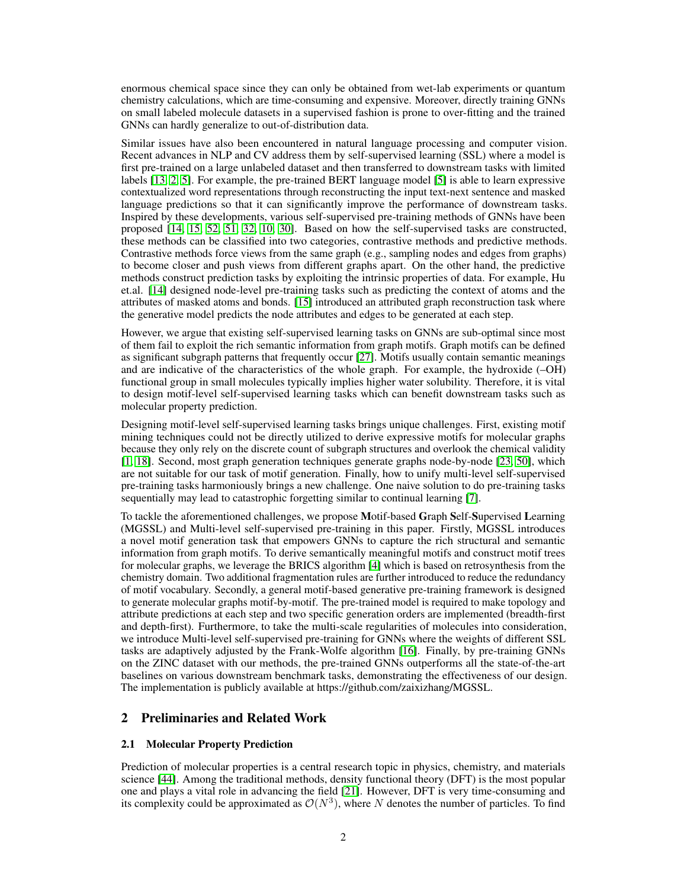enormous chemical space since they can only be obtained from wet-lab experiments or quantum chemistry calculations, which are time-consuming and expensive. Moreover, directly training GNNs on small labeled molecule datasets in a supervised fashion is prone to over-fitting and the trained GNNs can hardly generalize to out-of-distribution data.

Similar issues have also been encountered in natural language processing and computer vision. Recent advances in NLP and CV address them by self-supervised learning (SSL) where a model is first pre-trained on a large unlabeled dataset and then transferred to downstream tasks with limited labels [\[13,](#page-9-1) [2,](#page-9-4) [5\]](#page-9-0). For example, the pre-trained BERT language model [\[5\]](#page-9-0) is able to learn expressive contextualized word representations through reconstructing the input text-next sentence and masked language predictions so that it can significantly improve the performance of downstream tasks. Inspired by these developments, various self-supervised pre-training methods of GNNs have been proposed [\[14,](#page-9-5) [15,](#page-10-2) [52,](#page-12-0) [51,](#page-12-1) [32,](#page-10-3) [10,](#page-9-6) [30\]](#page-10-4). Based on how the self-supervised tasks are constructed, these methods can be classified into two categories, contrastive methods and predictive methods. Contrastive methods force views from the same graph (e.g., sampling nodes and edges from graphs) to become closer and push views from different graphs apart. On the other hand, the predictive methods construct prediction tasks by exploiting the intrinsic properties of data. For example, Hu et.al. [\[14\]](#page-9-5) designed node-level pre-training tasks such as predicting the context of atoms and the attributes of masked atoms and bonds. [\[15\]](#page-10-2) introduced an attributed graph reconstruction task where the generative model predicts the node attributes and edges to be generated at each step.

However, we argue that existing self-supervised learning tasks on GNNs are sub-optimal since most of them fail to exploit the rich semantic information from graph motifs. Graph motifs can be defined as significant subgraph patterns that frequently occur [\[27\]](#page-10-5). Motifs usually contain semantic meanings and are indicative of the characteristics of the whole graph. For example, the hydroxide (–OH) functional group in small molecules typically implies higher water solubility. Therefore, it is vital to design motif-level self-supervised learning tasks which can benefit downstream tasks such as molecular property prediction.

Designing motif-level self-supervised learning tasks brings unique challenges. First, existing motif mining techniques could not be directly utilized to derive expressive motifs for molecular graphs because they only rely on the discrete count of subgraph structures and overlook the chemical validity [\[1,](#page-9-7) [18\]](#page-10-6). Second, most graph generation techniques generate graphs node-by-node [\[23,](#page-10-7) [50\]](#page-11-1), which are not suitable for our task of motif generation. Finally, how to unify multi-level self-supervised pre-training tasks harmoniously brings a new challenge. One naive solution to do pre-training tasks sequentially may lead to catastrophic forgetting similar to continual learning [\[7\]](#page-9-8).

To tackle the aforementioned challenges, we propose Motif-based Graph Self-Supervised Learning (MGSSL) and Multi-level self-supervised pre-training in this paper. Firstly, MGSSL introduces a novel motif generation task that empowers GNNs to capture the rich structural and semantic information from graph motifs. To derive semantically meaningful motifs and construct motif trees for molecular graphs, we leverage the BRICS algorithm [\[4\]](#page-9-9) which is based on retrosynthesis from the chemistry domain. Two additional fragmentation rules are further introduced to reduce the redundancy of motif vocabulary. Secondly, a general motif-based generative pre-training framework is designed to generate molecular graphs motif-by-motif. The pre-trained model is required to make topology and attribute predictions at each step and two specific generation orders are implemented (breadth-first and depth-first). Furthermore, to take the multi-scale regularities of molecules into consideration, we introduce Multi-level self-supervised pre-training for GNNs where the weights of different SSL tasks are adaptively adjusted by the Frank-Wolfe algorithm [\[16\]](#page-10-8). Finally, by pre-training GNNs on the ZINC dataset with our methods, the pre-trained GNNs outperforms all the state-of-the-art baselines on various downstream benchmark tasks, demonstrating the effectiveness of our design. The implementation is publicly available at https://github.com/zaixizhang/MGSSL.

# 2 Preliminaries and Related Work

#### 2.1 Molecular Property Prediction

Prediction of molecular properties is a central research topic in physics, chemistry, and materials science [\[44\]](#page-11-2). Among the traditional methods, density functional theory (DFT) is the most popular one and plays a vital role in advancing the field [\[21\]](#page-10-9). However, DFT is very time-consuming and its complexity could be approximated as  $\mathcal{O}(N^3)$ , where N denotes the number of particles. To find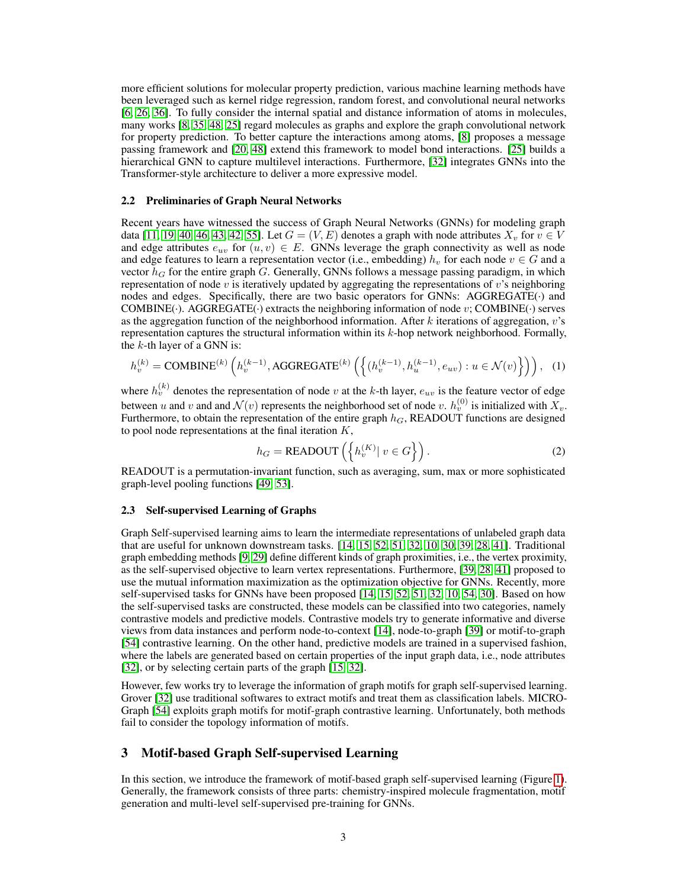more efficient solutions for molecular property prediction, various machine learning methods have been leveraged such as kernel ridge regression, random forest, and convolutional neural networks [\[6,](#page-9-10) [26,](#page-10-10) [36\]](#page-11-3). To fully consider the internal spatial and distance information of atoms in molecules, many works [\[8,](#page-9-2) [35,](#page-11-4) [48,](#page-11-5) [25\]](#page-10-1) regard molecules as graphs and explore the graph convolutional network for property prediction. To better capture the interactions among atoms, [\[8\]](#page-9-2) proposes a message passing framework and [\[20,](#page-10-11) [48\]](#page-11-5) extend this framework to model bond interactions. [\[25\]](#page-10-1) builds a hierarchical GNN to capture multilevel interactions. Furthermore, [\[32\]](#page-10-3) integrates GNNs into the Transformer-style architecture to deliver a more expressive model.

#### 2.2 Preliminaries of Graph Neural Networks

Recent years have witnessed the success of Graph Neural Networks (GNNs) for modeling graph data [\[11,](#page-9-11) [19,](#page-10-0) [40,](#page-11-6) [46,](#page-11-7) [43,](#page-11-8) [42,](#page-11-9) [55\]](#page-12-2). Let  $G = (V, E)$  denotes a graph with node attributes  $X_v$  for  $v \in V$ and edge attributes  $e_{uv}$  for  $(u, v) \in E$ . GNNs leverage the graph connectivity as well as node and edge features to learn a representation vector (i.e., embedding)  $h<sub>v</sub>$  for each node  $v \in G$  and a vector  $h_G$  for the entire graph G. Generally, GNNs follows a message passing paradigm, in which representation of node  $v$  is iteratively updated by aggregating the representations of  $v$ 's neighboring nodes and edges. Specifically, there are two basic operators for GNNs: AGGREGATE(·) and COMBINE( $\cdot$ ). AGGREGATE( $\cdot$ ) extracts the neighboring information of node v; COMBINE( $\cdot$ ) serves as the aggregation function of the neighborhood information. After  $k$  iterations of aggregation,  $v$ 's representation captures the structural information within its  $k$ -hop network neighborhood. Formally, the  $k$ -th layer of a GNN is:

$$
h_v^{(k)} = \text{COMBINE}^{(k)}\left(h_v^{(k-1)}, \text{AGGREGATE}^{(k)}\left(\left\{(h_v^{(k-1)}, h_u^{(k-1)}, e_{uv}) : u \in \mathcal{N}(v)\right\}\right)\right), (1)
$$

where  $h_v^{(k)}$  denotes the representation of node v at the k-th layer,  $e_{uv}$  is the feature vector of edge between u and v and and  $\mathcal{N}(v)$  represents the neighborhood set of node v.  $h_v^{(0)}$  is initialized with  $X_v$ . Furthermore, to obtain the representation of the entire graph  $h_G$ , READOUT functions are designed to pool node representations at the final iteration  $K$ ,

$$
h_G = \text{READOUT}\left(\left\{h_v^{(K)} \mid v \in G\right\}\right). \tag{2}
$$

READOUT is a permutation-invariant function, such as averaging, sum, max or more sophisticated graph-level pooling functions [\[49,](#page-11-10) [53\]](#page-12-3).

#### 2.3 Self-supervised Learning of Graphs

Graph Self-supervised learning aims to learn the intermediate representations of unlabeled graph data that are useful for unknown downstream tasks. [\[14,](#page-9-5) [15,](#page-10-2) [52,](#page-12-0) [51,](#page-12-1) [32,](#page-10-3) [10,](#page-9-6) [30,](#page-10-4) [39,](#page-11-11) [28,](#page-10-12) [41\]](#page-11-12). Traditional graph embedding methods [\[9,](#page-9-12) [29\]](#page-10-13) define different kinds of graph proximities, i.e., the vertex proximity, as the self-supervised objective to learn vertex representations. Furthermore, [\[39,](#page-11-11) [28,](#page-10-12) [41\]](#page-11-12) proposed to use the mutual information maximization as the optimization objective for GNNs. Recently, more self-supervised tasks for GNNs have been proposed [\[14,](#page-9-5) [15,](#page-10-2) [52,](#page-12-0) [51,](#page-12-1) [32,](#page-10-3) [10,](#page-9-6) [54,](#page-12-4) [30\]](#page-10-4). Based on how the self-supervised tasks are constructed, these models can be classified into two categories, namely contrastive models and predictive models. Contrastive models try to generate informative and diverse views from data instances and perform node-to-context [\[14\]](#page-9-5), node-to-graph [\[39\]](#page-11-11) or motif-to-graph [\[54\]](#page-12-4) contrastive learning. On the other hand, predictive models are trained in a supervised fashion, where the labels are generated based on certain properties of the input graph data, i.e., node attributes [\[32\]](#page-10-3), or by selecting certain parts of the graph [\[15,](#page-10-2) [32\]](#page-10-3).

However, few works try to leverage the information of graph motifs for graph self-supervised learning. Grover [\[32\]](#page-10-3) use traditional softwares to extract motifs and treat them as classification labels. MICRO-Graph [\[54\]](#page-12-4) exploits graph motifs for motif-graph contrastive learning. Unfortunately, both methods fail to consider the topology information of motifs.

# 3 Motif-based Graph Self-supervised Learning

In this section, we introduce the framework of motif-based graph self-supervised learning (Figure [1\)](#page-3-0). Generally, the framework consists of three parts: chemistry-inspired molecule fragmentation, motif generation and multi-level self-supervised pre-training for GNNs.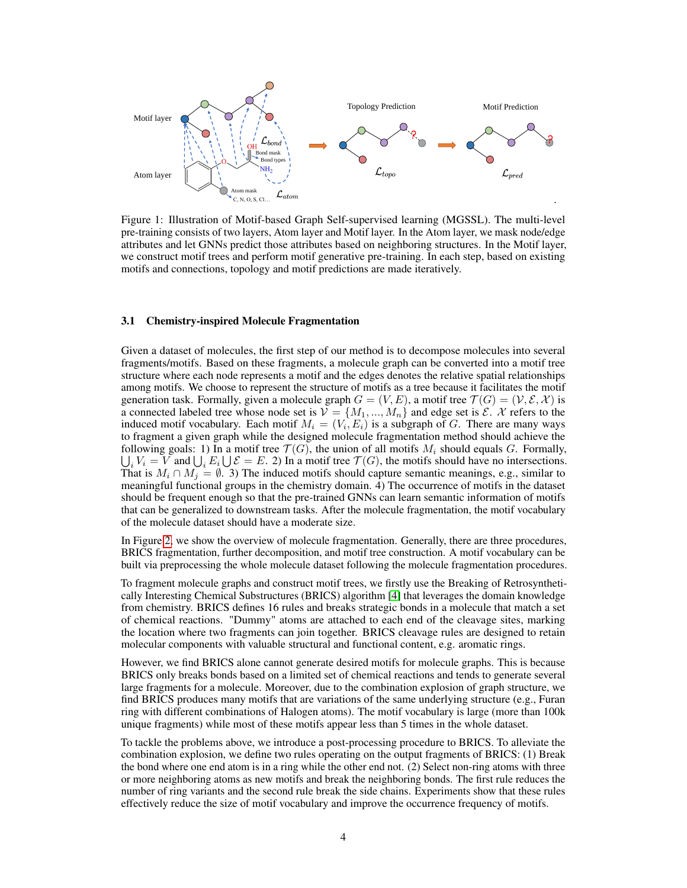

<span id="page-3-0"></span>Figure 1: Illustration of Motif-based Graph Self-supervised learning (MGSSL). The multi-level pre-training consists of two layers, Atom layer and Motif layer. In the Atom layer, we mask node/edge attributes and let GNNs predict those attributes based on neighboring structures. In the Motif layer, we construct motif trees and perform motif generative pre-training. In each step, based on existing motifs and connections, topology and motif predictions are made iteratively.

#### 3.1 Chemistry-inspired Molecule Fragmentation

Given a dataset of molecules, the first step of our method is to decompose molecules into several fragments/motifs. Based on these fragments, a molecule graph can be converted into a motif tree structure where each node represents a motif and the edges denotes the relative spatial relationships among motifs. We choose to represent the structure of motifs as a tree because it facilitates the motif generation task. Formally, given a molecule graph  $G = (V, E)$ , a motif tree  $\mathcal{T}(G) = (V, \mathcal{E}, \mathcal{X})$  is a connected labeled tree whose node set is  $V = \{M_1, ..., M_n\}$  and edge set is  $\mathcal{E}$ . X refers to the induced motif vocabulary. Each motif  $M_i = (V_i, E_i)$  is a subgraph of G. There are many ways to fragment a given graph while the designed molecule fragmentation method should achieve the following goals: 1) In a motif tree  $\mathcal{T}(G)$ , the union of all motifs  $M_i$  should equals G. Formally,  $\bigcup_i V_i = V$  and  $\bigcup_i E_i \bigcup \mathcal{E} = E$ . 2) In a motif tree  $\mathcal{T}(G)$ , the motifs should have no intersections. That is  $M_i \cap M_j = \emptyset$ . 3) The induced motifs should capture semantic meanings, e.g., similar to meaningful functional groups in the chemistry domain. 4) The occurrence of motifs in the dataset should be frequent enough so that the pre-trained GNNs can learn semantic information of motifs that can be generalized to downstream tasks. After the molecule fragmentation, the motif vocabulary of the molecule dataset should have a moderate size.

In Figure [2,](#page-4-0) we show the overview of molecule fragmentation. Generally, there are three procedures, BRICS fragmentation, further decomposition, and motif tree construction. A motif vocabulary can be built via preprocessing the whole molecule dataset following the molecule fragmentation procedures.

To fragment molecule graphs and construct motif trees, we firstly use the Breaking of Retrosynthetically Interesting Chemical Substructures (BRICS) algorithm [\[4\]](#page-9-9) that leverages the domain knowledge from chemistry. BRICS defines 16 rules and breaks strategic bonds in a molecule that match a set of chemical reactions. "Dummy" atoms are attached to each end of the cleavage sites, marking the location where two fragments can join together. BRICS cleavage rules are designed to retain molecular components with valuable structural and functional content, e.g. aromatic rings.

However, we find BRICS alone cannot generate desired motifs for molecule graphs. This is because BRICS only breaks bonds based on a limited set of chemical reactions and tends to generate several large fragments for a molecule. Moreover, due to the combination explosion of graph structure, we find BRICS produces many motifs that are variations of the same underlying structure (e.g., Furan ring with different combinations of Halogen atoms). The motif vocabulary is large (more than 100k unique fragments) while most of these motifs appear less than 5 times in the whole dataset.

To tackle the problems above, we introduce a post-processing procedure to BRICS. To alleviate the combination explosion, we define two rules operating on the output fragments of BRICS: (1) Break the bond where one end atom is in a ring while the other end not. (2) Select non-ring atoms with three or more neighboring atoms as new motifs and break the neighboring bonds. The first rule reduces the number of ring variants and the second rule break the side chains. Experiments show that these rules effectively reduce the size of motif vocabulary and improve the occurrence frequency of motifs.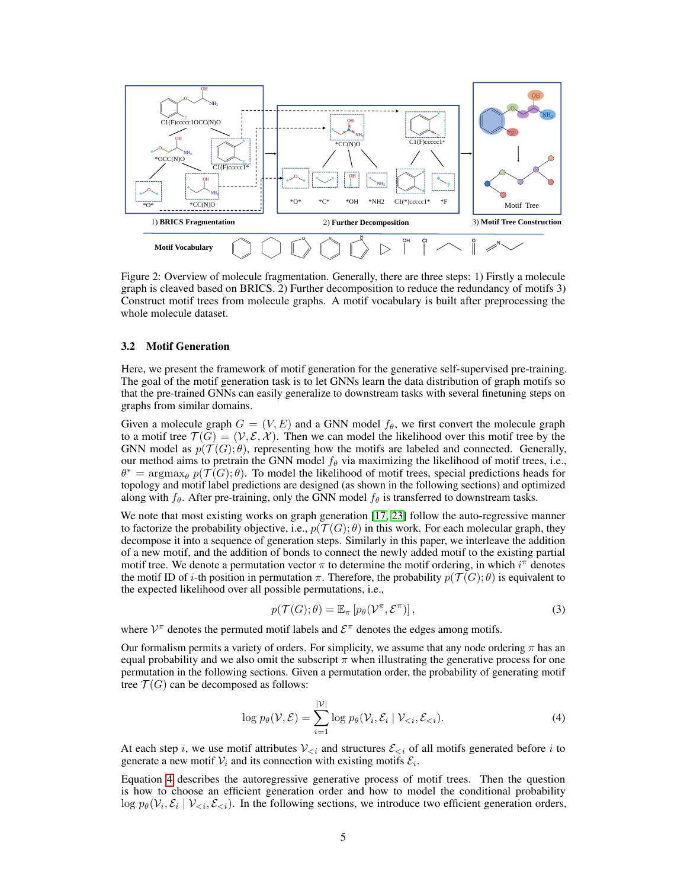

<span id="page-4-0"></span>Figure 2: Overview of molecule fragmentation. Generally, there are three steps: 1) Firstly a molecule graph is cleaved based on BRICS. 2) Further decomposition to reduce the redundancy of motifs 3) Construct motif trees from molecule graphs. A motif vocabulary is built after preprocessing the whole molecule dataset.

#### 3.2 Motif Generation

Here, we present the framework of motif generation for the generative self-supervised pre-training. The goal of the motif generation task is to let GNNs learn the data distribution of graph motifs so that the pre-trained GNNs can easily generalize to downstream tasks with several finetuning steps on graphs from similar domains.

Given a molecule graph  $G = (V, E)$  and a GNN model  $f_{\theta}$ , we first convert the molecule graph to a motif tree  $\mathcal{T}(G) = (\mathcal{V}, \mathcal{E}, \mathcal{X})$ . Then we can model the likelihood over this motif tree by the GNN model as  $p(\mathcal{T}(G); \theta)$ , representing how the motifs are labeled and connected. Generally, our method aims to pretrain the GNN model  $f_\theta$  via maximizing the likelihood of motif trees, i.e.,  $\theta^* = \argmax_{\theta} p(\mathcal{T}(G); \theta)$ . To model the likelihood of motif trees, special predictions heads for topology and motif label predictions are designed (as shown in the following sections) and optimized along with  $f_\theta$ . After pre-training, only the GNN model  $f_\theta$  is transferred to downstream tasks.

We note that most existing works on graph generation [\[17,](#page-10-14) [23\]](#page-10-7) follow the auto-regressive manner to factorize the probability objective, i.e.,  $p(\mathcal{T}(G); \theta)$  in this work. For each molecular graph, they decompose it into a sequence of generation steps. Similarly in this paper, we interleave the addition of a new motif, and the addition of bonds to connect the newly added motif to the existing partial motif tree. We denote a permutation vector  $\pi$  to determine the motif ordering, in which  $i^{\pi}$  denotes the motif ID of i-th position in permutation  $\pi$ . Therefore, the probability  $p(\mathcal{T}(G);\theta)$  is equivalent to the expected likelihood over all possible permutations, i.e.,

$$
p(\mathcal{T}(G); \theta) = \mathbb{E}_{\pi} \left[ p_{\theta}(\mathcal{V}^{\pi}, \mathcal{E}^{\pi}) \right], \tag{3}
$$

where  $V^{\pi}$  denotes the permuted motif labels and  $\mathcal{E}^{\pi}$  denotes the edges among motifs.

Our formalism permits a variety of orders. For simplicity, we assume that any node ordering  $\pi$  has an equal probability and we also omit the subscript  $\pi$  when illustrating the generative process for one permutation in the following sections. Given a permutation order, the probability of generating motif tree  $\mathcal{T}(G)$  can be decomposed as follows:

<span id="page-4-1"></span>
$$
\log p_{\theta}(\mathcal{V}, \mathcal{E}) = \sum_{i=1}^{|\mathcal{V}|} \log p_{\theta}(\mathcal{V}_i, \mathcal{E}_i \mid \mathcal{V}_{\n(4)
$$

At each step i, we use motif attributes  $V_{\leq i}$  and structures  $\mathcal{E}_{\leq i}$  of all motifs generated before i to generate a new motif  $V_i$  and its connection with existing motifs  $\mathcal{E}_i$ .

Equation [4](#page-4-1) describes the autoregressive generative process of motif trees. Then the question is how to choose an efficient generation order and how to model the conditional probability  $\log p_{\theta}(\mathcal{V}_i, \mathcal{E}_i | \mathcal{V}_{\leq i}, \mathcal{E}_{\leq i})$ . In the following sections, we introduce two efficient generation orders,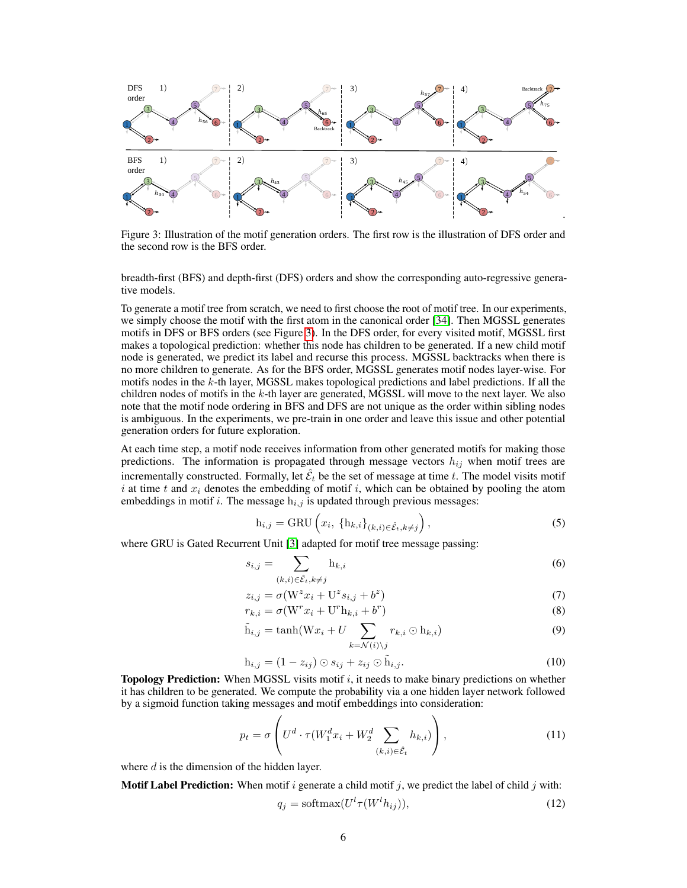

<span id="page-5-0"></span>Figure 3: Illustration of the motif generation orders. The first row is the illustration of DFS order and the second row is the BFS order.

breadth-first (BFS) and depth-first (DFS) orders and show the corresponding auto-regressive generative models.

To generate a motif tree from scratch, we need to first choose the root of motif tree. In our experiments, we simply choose the motif with the first atom in the canonical order [\[34\]](#page-11-13). Then MGSSL generates motifs in DFS or BFS orders (see Figure [3\)](#page-5-0). In the DFS order, for every visited motif, MGSSL first makes a topological prediction: whether this node has children to be generated. If a new child motif node is generated, we predict its label and recurse this process. MGSSL backtracks when there is no more children to generate. As for the BFS order, MGSSL generates motif nodes layer-wise. For motifs nodes in the k-th layer, MGSSL makes topological predictions and label predictions. If all the children nodes of motifs in the  $k$ -th layer are generated, MGSSL will move to the next layer. We also note that the motif node ordering in BFS and DFS are not unique as the order within sibling nodes is ambiguous. In the experiments, we pre-train in one order and leave this issue and other potential generation orders for future exploration.

At each time step, a motif node receives information from other generated motifs for making those predictions. The information is propagated through message vectors  $h_{ij}$  when motif trees are incrementally constructed. Formally, let  $\hat{\mathcal{E}}_t$  be the set of message at time t. The model visits motif i at time t and  $x_i$  denotes the embedding of motif i, which can be obtained by pooling the atom embeddings in motif i. The message  $h_{i,j}$  is updated through previous messages:

$$
h_{i,j} = GRU\left(x_i, \left\{h_{k,i}\right\}_{(k,i)\in \hat{\mathcal{E}}_t, k\neq j}\right),\tag{5}
$$

where GRU is Gated Recurrent Unit [\[3\]](#page-9-13) adapted for motif tree message passing:

$$
s_{i,j} = \sum_{(k,i) \in \hat{\mathcal{E}}_t, k \neq j} \mathbf{h}_{k,i} \tag{6}
$$

$$
z_{i,j} = \sigma(\mathbf{W}^z x_i + \mathbf{U}^z s_{i,j} + b^z) \tag{7}
$$

$$
r_{k,i} = \sigma(\mathbf{W}^r x_i + \mathbf{U}^r \mathbf{h}_{k,i} + b^r)
$$
\n<sup>(8)</sup>

$$
\tilde{\mathbf{h}}_{i,j} = \tanh(\mathbf{W}x_i + U \sum_{k=N(i)\backslash j} r_{k,i} \odot \mathbf{h}_{k,i})
$$
\n(9)

$$
\mathbf{h}_{i,j} = (1 - z_{ij}) \odot s_{ij} + z_{ij} \odot \tilde{\mathbf{h}}_{i,j}.
$$
\n(10)

Topology Prediction: When MGSSL visits motif i, it needs to make binary predictions on whether it has children to be generated. We compute the probability via a one hidden layer network followed by a sigmoid function taking messages and motif embeddings into consideration:

$$
p_t = \sigma \left( U^d \cdot \tau (W_1^d x_i + W_2^d \sum_{(k,i) \in \hat{\mathcal{E}}_t} h_{k,i}) \right), \tag{11}
$$

where  $d$  is the dimension of the hidden layer.

**Motif Label Prediction:** When motif i generate a child motif j, we predict the label of child j with:

$$
q_j = \text{softmax}(U^l \tau(W^l h_{ij})),\tag{12}
$$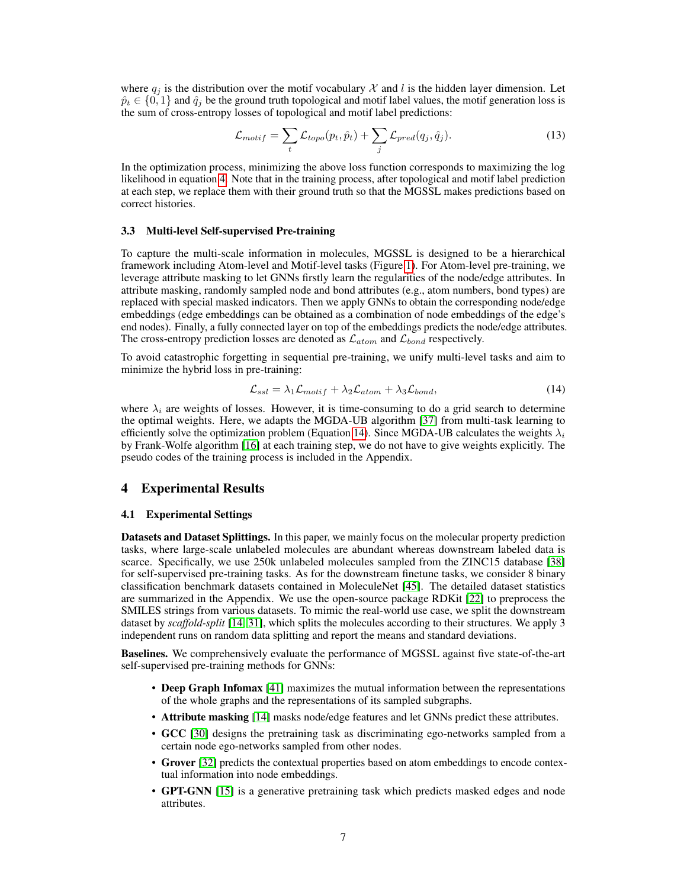where  $q_i$  is the distribution over the motif vocabulary X and l is the hidden layer dimension. Let  $\hat{p}_t \in \{0,1\}$  and  $\hat{q}_j$  be the ground truth topological and motif label values, the motif generation loss is the sum of cross-entropy losses of topological and motif label predictions:

$$
\mathcal{L}_{motif} = \sum_{t} \mathcal{L}_{topo}(p_t, \hat{p}_t) + \sum_{j} \mathcal{L}_{pred}(q_j, \hat{q}_j).
$$
\n(13)

In the optimization process, minimizing the above loss function corresponds to maximizing the log likelihood in equation [4.](#page-4-1) Note that in the training process, after topological and motif label prediction at each step, we replace them with their ground truth so that the MGSSL makes predictions based on correct histories.

#### 3.3 Multi-level Self-supervised Pre-training

To capture the multi-scale information in molecules, MGSSL is designed to be a hierarchical framework including Atom-level and Motif-level tasks (Figure [1\)](#page-3-0). For Atom-level pre-training, we leverage attribute masking to let GNNs firstly learn the regularities of the node/edge attributes. In attribute masking, randomly sampled node and bond attributes (e.g., atom numbers, bond types) are replaced with special masked indicators. Then we apply GNNs to obtain the corresponding node/edge embeddings (edge embeddings can be obtained as a combination of node embeddings of the edge's end nodes). Finally, a fully connected layer on top of the embeddings predicts the node/edge attributes. The cross-entropy prediction losses are denoted as  $\mathcal{L}_{atom}$  and  $\mathcal{L}_{bond}$  respectively.

To avoid catastrophic forgetting in sequential pre-training, we unify multi-level tasks and aim to minimize the hybrid loss in pre-training:

<span id="page-6-0"></span>
$$
\mathcal{L}_{ssl} = \lambda_1 \mathcal{L}_{motif} + \lambda_2 \mathcal{L}_{atom} + \lambda_3 \mathcal{L}_{bond},\tag{14}
$$

where  $\lambda_i$  are weights of losses. However, it is time-consuming to do a grid search to determine the optimal weights. Here, we adapts the MGDA-UB algorithm [\[37\]](#page-11-14) from multi-task learning to efficiently solve the optimization problem (Equation [14\)](#page-6-0). Since MGDA-UB calculates the weights  $\lambda_i$ by Frank-Wolfe algorithm [\[16\]](#page-10-8) at each training step, we do not have to give weights explicitly. The pseudo codes of the training process is included in the Appendix.

## 4 Experimental Results

#### 4.1 Experimental Settings

Datasets and Dataset Splittings. In this paper, we mainly focus on the molecular property prediction tasks, where large-scale unlabeled molecules are abundant whereas downstream labeled data is scarce. Specifically, we use 250k unlabeled molecules sampled from the ZINC15 database [\[38\]](#page-11-15) for self-supervised pre-training tasks. As for the downstream finetune tasks, we consider 8 binary classification benchmark datasets contained in MoleculeNet [\[45\]](#page-11-16). The detailed dataset statistics are summarized in the Appendix. We use the open-source package RDKit [\[22\]](#page-10-15) to preprocess the SMILES strings from various datasets. To mimic the real-world use case, we split the downstream dataset by *scaffold-split* [\[14,](#page-9-5) [31\]](#page-10-16), which splits the molecules according to their structures. We apply 3 independent runs on random data splitting and report the means and standard deviations.

Baselines. We comprehensively evaluate the performance of MGSSL against five state-of-the-art self-supervised pre-training methods for GNNs:

- Deep Graph Infomax [\[41\]](#page-11-12) maximizes the mutual information between the representations of the whole graphs and the representations of its sampled subgraphs.
- Attribute masking [\[14\]](#page-9-5) masks node/edge features and let GNNs predict these attributes.
- GCC [\[30\]](#page-10-4) designs the pretraining task as discriminating ego-networks sampled from a certain node ego-networks sampled from other nodes.
- Grover [\[32\]](#page-10-3) predicts the contextual properties based on atom embeddings to encode contextual information into node embeddings.
- GPT-GNN [\[15\]](#page-10-2) is a generative pretraining task which predicts masked edges and node attributes.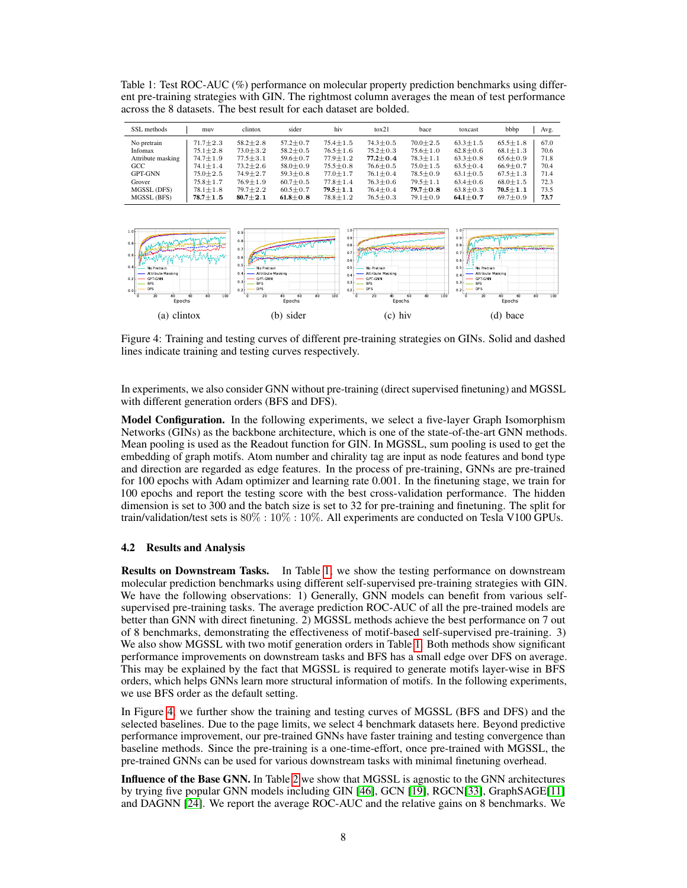<span id="page-7-0"></span>Table 1: Test ROC-AUC (%) performance on molecular property prediction benchmarks using different pre-training strategies with GIN. The rightmost column averages the mean of test performance across the 8 datasets. The best result for each dataset are bolded.

| SSL methods       | muv            | clintox        | sider          | hiv            | to x21         | bace           | toxcast        | bbbp           | Avg. |
|-------------------|----------------|----------------|----------------|----------------|----------------|----------------|----------------|----------------|------|
| No pretrain       | $71.7 + 2.3$   | $58.2 + 2.8$   | $57.2 \pm 0.7$ | $75.4 \pm 1.5$ | $74.3 \pm 0.5$ | $70.0 \pm 2.5$ | $63.3 \pm 1.5$ | $65.5 \pm 1.8$ | 67.0 |
| Infomax           | $75.1 \pm 2.8$ | $73.0 + 3.2$   | $58.2 \pm 0.5$ | $76.5 \pm 1.6$ | $75.2 \pm 0.3$ | $75.6 \pm 1.0$ | $62.8 \pm 0.6$ | $68.1 \pm 1.3$ | 70.6 |
| Attribute masking | $74.7 \pm 1.9$ | $77.5 + 3.1$   | $59.6 \pm 0.7$ | $77.9 \pm 1.2$ | $77.2 + 0.4$   | $78.3 + 1.1$   | $63.3 \pm 0.8$ | $65.6 \pm 0.9$ | 71.8 |
| GCC               | $74.1 \pm 1.4$ | $73.2 \pm 2.6$ | $58.0 \pm 0.9$ | $75.5 \pm 0.8$ | $76.6 \pm 0.5$ | $75.0 \pm 1.5$ | $63.5 \pm 0.4$ | $66.9 \pm 0.7$ | 70.4 |
| GPT-GNN           | $75.0 + 2.5$   | $74.9 \pm 2.7$ | $59.3 \pm 0.8$ | $77.0 \pm 1.7$ | $76.1 \pm 0.4$ | $78.5 \pm 0.9$ | $63.1 \pm 0.5$ | $67.5 \pm 1.3$ | 71.4 |
| Grover            | $75.8 + 1.7$   | $76.9 \pm 1.9$ | $60.7 \pm 0.5$ | $77.8 \pm 1.4$ | $76.3 \pm 0.6$ | $79.5 \pm 1.1$ | $63.4 \pm 0.6$ | $68.0 \pm 1.5$ | 72.3 |
| MGSSL (DFS)       | $78.1 \pm 1.8$ | $79.7 + 2.2$   | $60.5 \pm 0.7$ | $79.5 + 1.1$   | $76.4 \pm 0.4$ | $79.7 + 0.8$   | $63.8 \pm 0.3$ | $70.5 + 1.1$   | 73.5 |
| MGSSL (BFS)       | $78.7 + 1.5$   | $80.7 + 2.1$   | $61.8 + 0.8$   | $78.8 \pm 1.2$ | $76.5 \pm 0.3$ | $79.1 \pm 0.9$ | $64.1 \pm 0.7$ | $69.7 + 0.9$   | 73.7 |



<span id="page-7-1"></span>Figure 4: Training and testing curves of different pre-training strategies on GINs. Solid and dashed lines indicate training and testing curves respectively.

In experiments, we also consider GNN without pre-training (direct supervised finetuning) and MGSSL with different generation orders (BFS and DFS).

Model Configuration. In the following experiments, we select a five-layer Graph Isomorphism Networks (GINs) as the backbone architecture, which is one of the state-of-the-art GNN methods. Mean pooling is used as the Readout function for GIN. In MGSSL, sum pooling is used to get the embedding of graph motifs. Atom number and chirality tag are input as node features and bond type and direction are regarded as edge features. In the process of pre-training, GNNs are pre-trained for 100 epochs with Adam optimizer and learning rate 0.001. In the finetuning stage, we train for 100 epochs and report the testing score with the best cross-validation performance. The hidden dimension is set to 300 and the batch size is set to 32 for pre-training and finetuning. The split for train/validation/test sets is 80% : 10% : 10%. All experiments are conducted on Tesla V100 GPUs.

# 4.2 Results and Analysis

Results on Downstream Tasks. In Table [1,](#page-7-0) we show the testing performance on downstream molecular prediction benchmarks using different self-supervised pre-training strategies with GIN. We have the following observations: 1) Generally, GNN models can benefit from various selfsupervised pre-training tasks. The average prediction ROC-AUC of all the pre-trained models are better than GNN with direct finetuning. 2) MGSSL methods achieve the best performance on 7 out of 8 benchmarks, demonstrating the effectiveness of motif-based self-supervised pre-training. 3) We also show MGSSL with two motif generation orders in Table [1.](#page-7-0) Both methods show significant performance improvements on downstream tasks and BFS has a small edge over DFS on average. This may be explained by the fact that MGSSL is required to generate motifs layer-wise in BFS orders, which helps GNNs learn more structural information of motifs. In the following experiments, we use BFS order as the default setting.

In Figure [4,](#page-7-1) we further show the training and testing curves of MGSSL (BFS and DFS) and the selected baselines. Due to the page limits, we select 4 benchmark datasets here. Beyond predictive performance improvement, our pre-trained GNNs have faster training and testing convergence than baseline methods. Since the pre-training is a one-time-effort, once pre-trained with MGSSL, the pre-trained GNNs can be used for various downstream tasks with minimal finetuning overhead.

Influence of the Base GNN. In Table [2](#page-8-0) we show that MGSSL is agnostic to the GNN architectures by trying five popular GNN models including GIN [\[46\]](#page-11-7), GCN [\[19\]](#page-10-0), RGCN[\[33\]](#page-10-17), GraphSAGE[\[11\]](#page-9-11) and DAGNN [\[24\]](#page-10-18). We report the average ROC-AUC and the relative gains on 8 benchmarks. We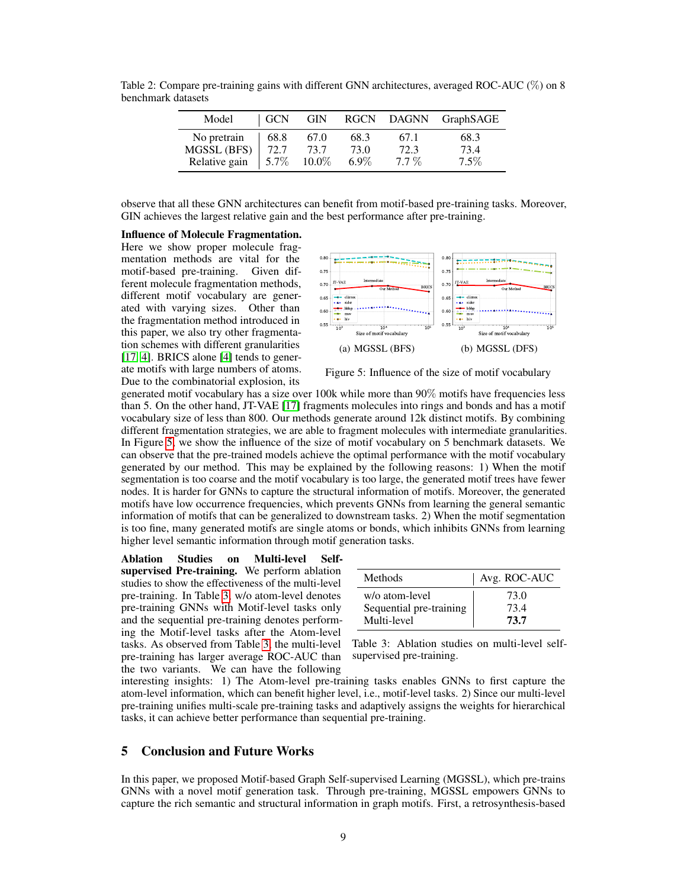<span id="page-8-0"></span>

| Model         | GCN  | <b>GIN</b> | <b>RGCN</b> |         | DAGNN GraphSAGE |
|---------------|------|------------|-------------|---------|-----------------|
| No pretrain   | 68.8 | 67.0       | 68.3        | 67.1    | 68.3            |
| MGSSL (BFS)   | 72.7 | 73.7       | 73.0        | 72.3    | 73.4            |
| Relative gain | 5.7% | 10.0%      | $6.9\%$     | $7.7\%$ | $7.5\%$         |

Table 2: Compare pre-training gains with different GNN architectures, averaged ROC-AUC (%) on 8 benchmark datasets

observe that all these GNN architectures can benefit from motif-based pre-training tasks. Moreover, GIN achieves the largest relative gain and the best performance after pre-training.

# Influence of Molecule Fragmentation.

Here we show proper molecule fragmentation methods are vital for the motif-based pre-training. Given different molecule fragmentation methods, different motif vocabulary are generated with varying sizes. Other than the fragmentation method introduced in this paper, we also try other fragmentation schemes with different granularities [\[17,](#page-10-14) [4\]](#page-9-9). BRICS alone [\[4\]](#page-9-9) tends to generate motifs with large numbers of atoms. Due to the combinatorial explosion, its



<span id="page-8-1"></span>Figure 5: Influence of the size of motif vocabulary

generated motif vocabulary has a size over 100k while more than 90% motifs have frequencies less than 5. On the other hand, JT-VAE [\[17\]](#page-10-14) fragments molecules into rings and bonds and has a motif vocabulary size of less than 800. Our methods generate around 12k distinct motifs. By combining different fragmentation strategies, we are able to fragment molecules with intermediate granularities. In Figure [5,](#page-8-1) we show the influence of the size of motif vocabulary on 5 benchmark datasets. We can observe that the pre-trained models achieve the optimal performance with the motif vocabulary generated by our method. This may be explained by the following reasons: 1) When the motif segmentation is too coarse and the motif vocabulary is too large, the generated motif trees have fewer nodes. It is harder for GNNs to capture the structural information of motifs. Moreover, the generated motifs have low occurrence frequencies, which prevents GNNs from learning the general semantic information of motifs that can be generalized to downstream tasks. 2) When the motif segmentation is too fine, many generated motifs are single atoms or bonds, which inhibits GNNs from learning higher level semantic information through motif generation tasks.

Ablation Studies on Multi-level Selfsupervised Pre-training. We perform ablation studies to show the effectiveness of the multi-level pre-training. In Table [3,](#page-8-2) w/o atom-level denotes pre-training GNNs with Motif-level tasks only and the sequential pre-training denotes performing the Motif-level tasks after the Atom-level tasks. As observed from Table [3,](#page-8-2) the multi-level pre-training has larger average ROC-AUC than the two variants. We can have the following

| Methods                 | Avg. ROC-AUC |
|-------------------------|--------------|
| w/o atom-level          | 73.0         |
| Sequential pre-training | 734          |
| Multi-level             | 73.7         |

<span id="page-8-2"></span>Table 3: Ablation studies on multi-level selfsupervised pre-training.

interesting insights: 1) The Atom-level pre-training tasks enables GNNs to first capture the atom-level information, which can benefit higher level, i.e., motif-level tasks. 2) Since our multi-level pre-training unifies multi-scale pre-training tasks and adaptively assigns the weights for hierarchical tasks, it can achieve better performance than sequential pre-training.

## 5 Conclusion and Future Works

In this paper, we proposed Motif-based Graph Self-supervised Learning (MGSSL), which pre-trains GNNs with a novel motif generation task. Through pre-training, MGSSL empowers GNNs to capture the rich semantic and structural information in graph motifs. First, a retrosynthesis-based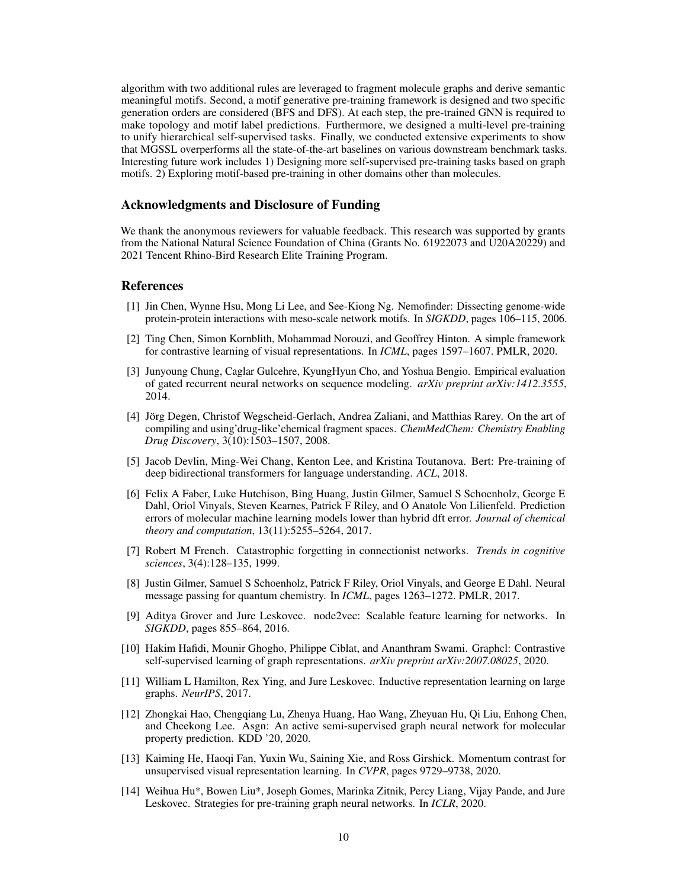algorithm with two additional rules are leveraged to fragment molecule graphs and derive semantic meaningful motifs. Second, a motif generative pre-training framework is designed and two specific generation orders are considered (BFS and DFS). At each step, the pre-trained GNN is required to make topology and motif label predictions. Furthermore, we designed a multi-level pre-training to unify hierarchical self-supervised tasks. Finally, we conducted extensive experiments to show that MGSSL overperforms all the state-of-the-art baselines on various downstream benchmark tasks. Interesting future work includes 1) Designing more self-supervised pre-training tasks based on graph motifs. 2) Exploring motif-based pre-training in other domains other than molecules.

# Acknowledgments and Disclosure of Funding

We thank the anonymous reviewers for valuable feedback. This research was supported by grants from the National Natural Science Foundation of China (Grants No. 61922073 and U20A20229) and 2021 Tencent Rhino-Bird Research Elite Training Program.

### References

- <span id="page-9-7"></span>[1] Jin Chen, Wynne Hsu, Mong Li Lee, and See-Kiong Ng. Nemofinder: Dissecting genome-wide protein-protein interactions with meso-scale network motifs. In *SIGKDD*, pages 106–115, 2006.
- <span id="page-9-4"></span>[2] Ting Chen, Simon Kornblith, Mohammad Norouzi, and Geoffrey Hinton. A simple framework for contrastive learning of visual representations. In *ICML*, pages 1597–1607. PMLR, 2020.
- <span id="page-9-13"></span>[3] Junyoung Chung, Caglar Gulcehre, KyungHyun Cho, and Yoshua Bengio. Empirical evaluation of gated recurrent neural networks on sequence modeling. *arXiv preprint arXiv:1412.3555*, 2014.
- <span id="page-9-9"></span>[4] Jörg Degen, Christof Wegscheid-Gerlach, Andrea Zaliani, and Matthias Rarey. On the art of compiling and using'drug-like'chemical fragment spaces. *ChemMedChem: Chemistry Enabling Drug Discovery*, 3(10):1503–1507, 2008.
- <span id="page-9-0"></span>[5] Jacob Devlin, Ming-Wei Chang, Kenton Lee, and Kristina Toutanova. Bert: Pre-training of deep bidirectional transformers for language understanding. *ACL*, 2018.
- <span id="page-9-10"></span>[6] Felix A Faber, Luke Hutchison, Bing Huang, Justin Gilmer, Samuel S Schoenholz, George E Dahl, Oriol Vinyals, Steven Kearnes, Patrick F Riley, and O Anatole Von Lilienfeld. Prediction errors of molecular machine learning models lower than hybrid dft error. *Journal of chemical theory and computation*, 13(11):5255–5264, 2017.
- <span id="page-9-8"></span>[7] Robert M French. Catastrophic forgetting in connectionist networks. *Trends in cognitive sciences*, 3(4):128–135, 1999.
- <span id="page-9-2"></span>[8] Justin Gilmer, Samuel S Schoenholz, Patrick F Riley, Oriol Vinyals, and George E Dahl. Neural message passing for quantum chemistry. In *ICML*, pages 1263–1272. PMLR, 2017.
- <span id="page-9-12"></span>[9] Aditya Grover and Jure Leskovec. node2vec: Scalable feature learning for networks. In *SIGKDD*, pages 855–864, 2016.
- <span id="page-9-6"></span>[10] Hakim Hafidi, Mounir Ghogho, Philippe Ciblat, and Ananthram Swami. Graphcl: Contrastive self-supervised learning of graph representations. *arXiv preprint arXiv:2007.08025*, 2020.
- <span id="page-9-11"></span>[11] William L Hamilton, Rex Ying, and Jure Leskovec. Inductive representation learning on large graphs. *NeurIPS*, 2017.
- <span id="page-9-3"></span>[12] Zhongkai Hao, Chengqiang Lu, Zhenya Huang, Hao Wang, Zheyuan Hu, Qi Liu, Enhong Chen, and Cheekong Lee. Asgn: An active semi-supervised graph neural network for molecular property prediction. KDD '20, 2020.
- <span id="page-9-1"></span>[13] Kaiming He, Haoqi Fan, Yuxin Wu, Saining Xie, and Ross Girshick. Momentum contrast for unsupervised visual representation learning. In *CVPR*, pages 9729–9738, 2020.
- <span id="page-9-5"></span>[14] Weihua Hu\*, Bowen Liu\*, Joseph Gomes, Marinka Zitnik, Percy Liang, Vijay Pande, and Jure Leskovec. Strategies for pre-training graph neural networks. In *ICLR*, 2020.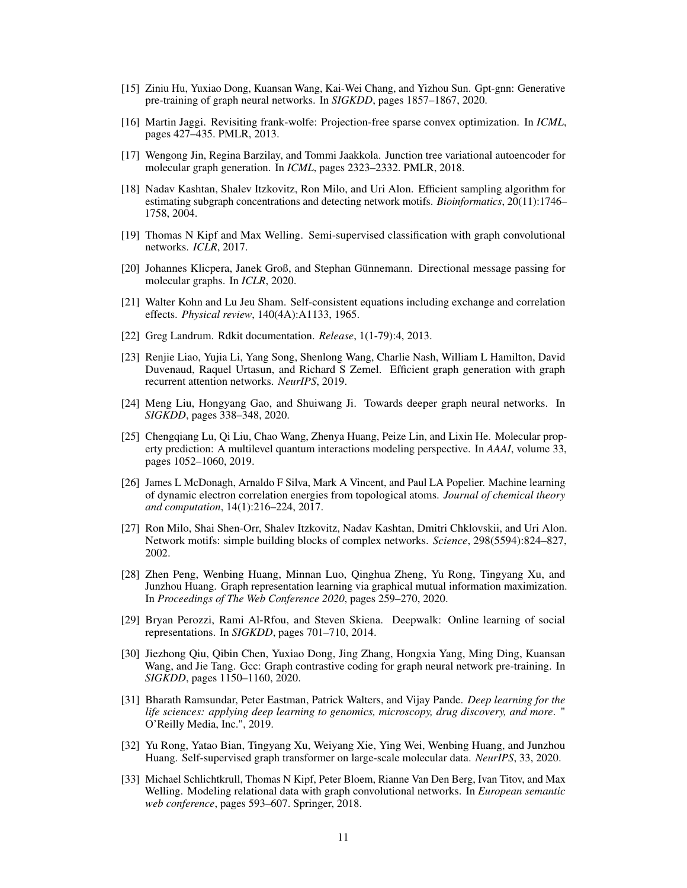- <span id="page-10-2"></span>[15] Ziniu Hu, Yuxiao Dong, Kuansan Wang, Kai-Wei Chang, and Yizhou Sun. Gpt-gnn: Generative pre-training of graph neural networks. In *SIGKDD*, pages 1857–1867, 2020.
- <span id="page-10-8"></span>[16] Martin Jaggi. Revisiting frank-wolfe: Projection-free sparse convex optimization. In *ICML*, pages 427–435. PMLR, 2013.
- <span id="page-10-14"></span>[17] Wengong Jin, Regina Barzilay, and Tommi Jaakkola. Junction tree variational autoencoder for molecular graph generation. In *ICML*, pages 2323–2332. PMLR, 2018.
- <span id="page-10-6"></span>[18] Nadav Kashtan, Shalev Itzkovitz, Ron Milo, and Uri Alon. Efficient sampling algorithm for estimating subgraph concentrations and detecting network motifs. *Bioinformatics*, 20(11):1746– 1758, 2004.
- <span id="page-10-0"></span>[19] Thomas N Kipf and Max Welling. Semi-supervised classification with graph convolutional networks. *ICLR*, 2017.
- <span id="page-10-11"></span>[20] Johannes Klicpera, Janek Groß, and Stephan Günnemann. Directional message passing for molecular graphs. In *ICLR*, 2020.
- <span id="page-10-9"></span>[21] Walter Kohn and Lu Jeu Sham. Self-consistent equations including exchange and correlation effects. *Physical review*, 140(4A):A1133, 1965.
- <span id="page-10-15"></span>[22] Greg Landrum. Rdkit documentation. *Release*, 1(1-79):4, 2013.
- <span id="page-10-7"></span>[23] Renjie Liao, Yujia Li, Yang Song, Shenlong Wang, Charlie Nash, William L Hamilton, David Duvenaud, Raquel Urtasun, and Richard S Zemel. Efficient graph generation with graph recurrent attention networks. *NeurIPS*, 2019.
- <span id="page-10-18"></span>[24] Meng Liu, Hongyang Gao, and Shuiwang Ji. Towards deeper graph neural networks. In *SIGKDD*, pages 338–348, 2020.
- <span id="page-10-1"></span>[25] Chengqiang Lu, Qi Liu, Chao Wang, Zhenya Huang, Peize Lin, and Lixin He. Molecular property prediction: A multilevel quantum interactions modeling perspective. In *AAAI*, volume 33, pages 1052–1060, 2019.
- <span id="page-10-10"></span>[26] James L McDonagh, Arnaldo F Silva, Mark A Vincent, and Paul LA Popelier. Machine learning of dynamic electron correlation energies from topological atoms. *Journal of chemical theory and computation*, 14(1):216–224, 2017.
- <span id="page-10-5"></span>[27] Ron Milo, Shai Shen-Orr, Shalev Itzkovitz, Nadav Kashtan, Dmitri Chklovskii, and Uri Alon. Network motifs: simple building blocks of complex networks. *Science*, 298(5594):824–827, 2002.
- <span id="page-10-12"></span>[28] Zhen Peng, Wenbing Huang, Minnan Luo, Qinghua Zheng, Yu Rong, Tingyang Xu, and Junzhou Huang. Graph representation learning via graphical mutual information maximization. In *Proceedings of The Web Conference 2020*, pages 259–270, 2020.
- <span id="page-10-13"></span>[29] Bryan Perozzi, Rami Al-Rfou, and Steven Skiena. Deepwalk: Online learning of social representations. In *SIGKDD*, pages 701–710, 2014.
- <span id="page-10-4"></span>[30] Jiezhong Qiu, Qibin Chen, Yuxiao Dong, Jing Zhang, Hongxia Yang, Ming Ding, Kuansan Wang, and Jie Tang. Gcc: Graph contrastive coding for graph neural network pre-training. In *SIGKDD*, pages 1150–1160, 2020.
- <span id="page-10-16"></span>[31] Bharath Ramsundar, Peter Eastman, Patrick Walters, and Vijay Pande. *Deep learning for the life sciences: applying deep learning to genomics, microscopy, drug discovery, and more*. " O'Reilly Media, Inc.", 2019.
- <span id="page-10-3"></span>[32] Yu Rong, Yatao Bian, Tingyang Xu, Weiyang Xie, Ying Wei, Wenbing Huang, and Junzhou Huang. Self-supervised graph transformer on large-scale molecular data. *NeurIPS*, 33, 2020.
- <span id="page-10-17"></span>[33] Michael Schlichtkrull, Thomas N Kipf, Peter Bloem, Rianne Van Den Berg, Ivan Titov, and Max Welling. Modeling relational data with graph convolutional networks. In *European semantic web conference*, pages 593–607. Springer, 2018.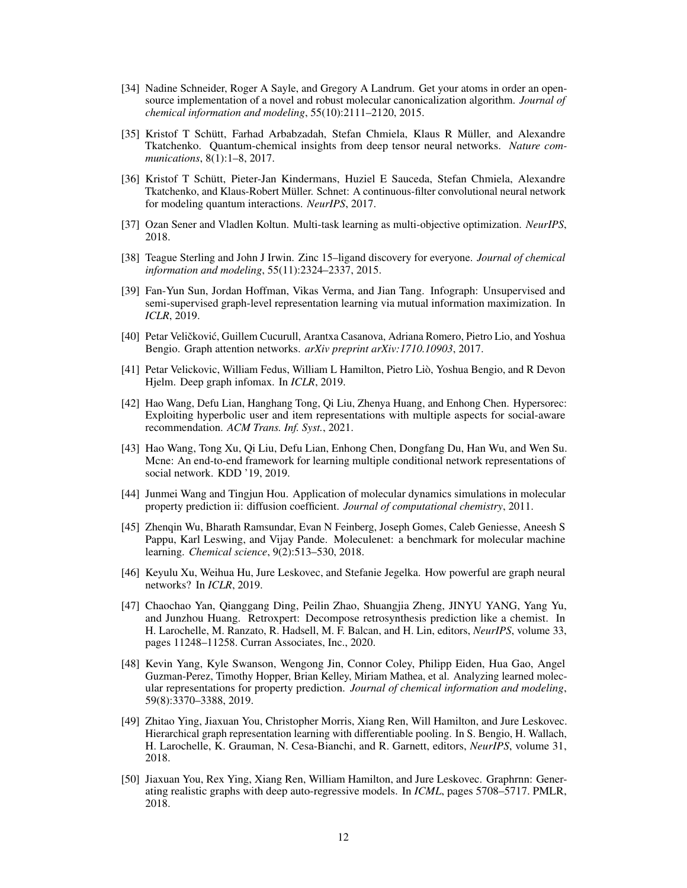- <span id="page-11-13"></span>[34] Nadine Schneider, Roger A Sayle, and Gregory A Landrum. Get your atoms in order an opensource implementation of a novel and robust molecular canonicalization algorithm. *Journal of chemical information and modeling*, 55(10):2111–2120, 2015.
- <span id="page-11-4"></span>[35] Kristof T Schütt, Farhad Arbabzadah, Stefan Chmiela, Klaus R Müller, and Alexandre Tkatchenko. Quantum-chemical insights from deep tensor neural networks. *Nature communications*, 8(1):1–8, 2017.
- <span id="page-11-3"></span>[36] Kristof T Schütt, Pieter-Jan Kindermans, Huziel E Sauceda, Stefan Chmiela, Alexandre Tkatchenko, and Klaus-Robert Müller. Schnet: A continuous-filter convolutional neural network for modeling quantum interactions. *NeurIPS*, 2017.
- <span id="page-11-14"></span>[37] Ozan Sener and Vladlen Koltun. Multi-task learning as multi-objective optimization. *NeurIPS*, 2018.
- <span id="page-11-15"></span>[38] Teague Sterling and John J Irwin. Zinc 15–ligand discovery for everyone. *Journal of chemical information and modeling*, 55(11):2324–2337, 2015.
- <span id="page-11-11"></span>[39] Fan-Yun Sun, Jordan Hoffman, Vikas Verma, and Jian Tang. Infograph: Unsupervised and semi-supervised graph-level representation learning via mutual information maximization. In *ICLR*, 2019.
- <span id="page-11-6"></span>[40] Petar Veličković, Guillem Cucurull, Arantxa Casanova, Adriana Romero, Pietro Lio, and Yoshua Bengio. Graph attention networks. *arXiv preprint arXiv:1710.10903*, 2017.
- <span id="page-11-12"></span>[41] Petar Velickovic, William Fedus, William L Hamilton, Pietro Liò, Yoshua Bengio, and R Devon Hjelm. Deep graph infomax. In *ICLR*, 2019.
- <span id="page-11-9"></span>[42] Hao Wang, Defu Lian, Hanghang Tong, Qi Liu, Zhenya Huang, and Enhong Chen. Hypersorec: Exploiting hyperbolic user and item representations with multiple aspects for social-aware recommendation. *ACM Trans. Inf. Syst.*, 2021.
- <span id="page-11-8"></span>[43] Hao Wang, Tong Xu, Qi Liu, Defu Lian, Enhong Chen, Dongfang Du, Han Wu, and Wen Su. Mcne: An end-to-end framework for learning multiple conditional network representations of social network. KDD '19, 2019.
- <span id="page-11-2"></span>[44] Junmei Wang and Tingjun Hou. Application of molecular dynamics simulations in molecular property prediction ii: diffusion coefficient. *Journal of computational chemistry*, 2011.
- <span id="page-11-16"></span>[45] Zhenqin Wu, Bharath Ramsundar, Evan N Feinberg, Joseph Gomes, Caleb Geniesse, Aneesh S Pappu, Karl Leswing, and Vijay Pande. Moleculenet: a benchmark for molecular machine learning. *Chemical science*, 9(2):513–530, 2018.
- <span id="page-11-7"></span>[46] Keyulu Xu, Weihua Hu, Jure Leskovec, and Stefanie Jegelka. How powerful are graph neural networks? In *ICLR*, 2019.
- <span id="page-11-0"></span>[47] Chaochao Yan, Qianggang Ding, Peilin Zhao, Shuangjia Zheng, JINYU YANG, Yang Yu, and Junzhou Huang. Retroxpert: Decompose retrosynthesis prediction like a chemist. In H. Larochelle, M. Ranzato, R. Hadsell, M. F. Balcan, and H. Lin, editors, *NeurIPS*, volume 33, pages 11248–11258. Curran Associates, Inc., 2020.
- <span id="page-11-5"></span>[48] Kevin Yang, Kyle Swanson, Wengong Jin, Connor Coley, Philipp Eiden, Hua Gao, Angel Guzman-Perez, Timothy Hopper, Brian Kelley, Miriam Mathea, et al. Analyzing learned molecular representations for property prediction. *Journal of chemical information and modeling*, 59(8):3370–3388, 2019.
- <span id="page-11-10"></span>[49] Zhitao Ying, Jiaxuan You, Christopher Morris, Xiang Ren, Will Hamilton, and Jure Leskovec. Hierarchical graph representation learning with differentiable pooling. In S. Bengio, H. Wallach, H. Larochelle, K. Grauman, N. Cesa-Bianchi, and R. Garnett, editors, *NeurIPS*, volume 31, 2018.
- <span id="page-11-1"></span>[50] Jiaxuan You, Rex Ying, Xiang Ren, William Hamilton, and Jure Leskovec. Graphrnn: Generating realistic graphs with deep auto-regressive models. In *ICML*, pages 5708–5717. PMLR, 2018.